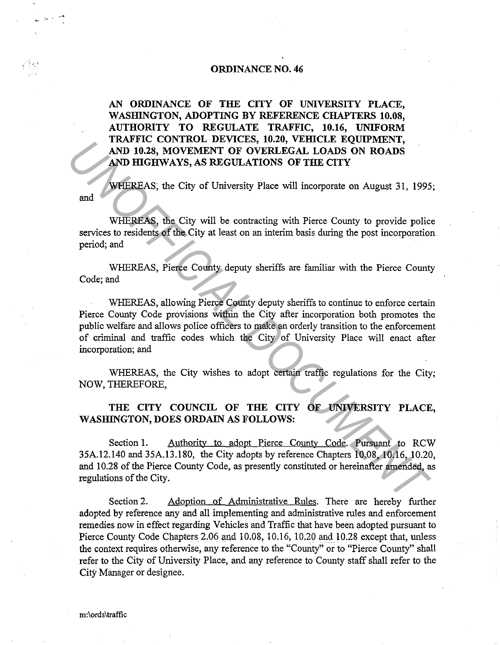# **ORDINANCE NO. 46**

**AN ORDINANCE OF THE CITY OF UNIVERSITY PLACE, WASHINGTON, ADOPTING BY REFERENCE CHAPTERS 10.08, AUTHORITY TO REGULATE TRAFFIC, 10.16, UNIFORM**  TRAFFIC CONTROL DEVICES, 10.20, VEHICLE EQUIPMENT, **AND 10.28, MOVEMENT OF OVERLEGAL LOADS ON ROADS**  AND HIGHWAYS, AS REGULATIONS OF THE CITY

and WHEREAS; the City of University Place will incorporate on August 31, 1995;

WHEREAS, the City will be contracting with Pierce County to provide police services to residents of the City at least on an interim basis during the post incorporation period; and

WHEREAS, Pierce County deputy sheriffs are familiar with the Pierce County Code; and

WHEREAS, allowing Pierce County deputy sheriffs to continue to enforce certain Pierce County Code provisions within the City after incorporation both promotes the public welfare and allows police officers to make an orderly transition to the enforcement of criminal and traffic codes which the City of University Place will enact after incorporation; and **EXAMPLE CONTROL DEVICES, IDAY, VERCLE EQUITMENT, AND HIGHWAYS, AS REGULATIONS OF THE CITY**<br>**AND HIGHWAYS, AS REGULATIONS OF THE CITY**<br>**WHEREAS**, the City of University Place will incorporate on August 31, 1995<br>and<br>**EXAMPL** 

WHEREAS, the City wishes to adopt certain traffic regulations for the City; NOW, THEREFORE,

# **THE CITY COUNCIL OF THE CITY OF UNIVERSITY PLACE, WASHINGTON, DOES ORDAIN AS FOLLOWS:**

Section 1. Authority to adopt Pierce County Code. Pursuant to RCW 35A.12.140 and 35A.13.180, the City adopts by reference Chapters 10.08, 10.16, 10.20, and 10.28 of the Pierce County Code, as presently constituted or hereinafter amended, as regulations of the City.

Section 2. Adoption of Administrative Rules. There are hereby further adopted by reference any and all implementing and administrative rules and enforcement remedies now in effect regarding Vehicles and Traffic that have been adopted pursuant to Pierce County Code Chapters 2.06 and 10.08, 10.16, 10.20 and 10.28 except that, unless the context requires otherwise, any reference to the "County" or to "Pierce County" shall refer to the City of University Place, and any reference to County staff shall refer to the City Manager or designee.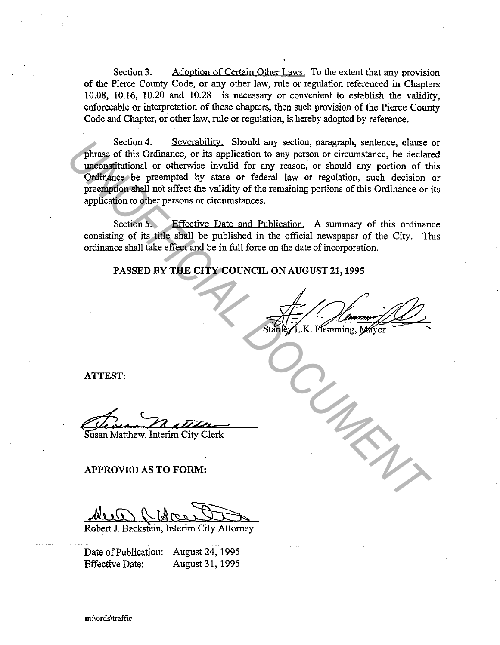Section 3. Adoption of Certain Other Laws. To the extent that any provision of the Pierce County Code, or any other law, rule or regulation referenced in Chapters 10.08, 10.16, 10.20 and 10.28 is necessary or convenient to establish the validity, enforceable or interpretation of these chapters, then such provision of the Pierce County Code and Chapter, or other law, rule or regulation, is hereby adopted by reference.

Section 4. Severability. Should any section, paragraph, sentence, clause or phrase of this Ordinance, or its application to any person or circumstance, be declared unconstitutional or otherwise invalid for any reason, or should any portion of this Ordinance be preempted by state or federal law or regulation, such decision or preemption shall not affect the validity of the remaining portions of this Ordinance or its application to other persons or circumstances. Section 4. Secretability. Should any section, paragraph, sentience, clause of this Ordinance, or its application to any person, or circumstance, be declared to predicative by state or fecteral law or regulation, such decis

Section 5. Effective Date and Publication. A summary of this ordinance consisting of its title shall be published in the official newspaper of the City. This ordinance shall take effect and be in full force on the date of incorporation.

# PASSED BY THE CITY COUNCIL ON AUGUST 21, 1995

ATTEST:

~·- *'-22* </7M• usanMatthew, Interim City Clerk

APPROVED AS TO FORM:

Robert J. Backstein, Interim City Attorney

Date of Publication: August 24, 1995 Effective Date: August 31, 1995

m:\ords\traffic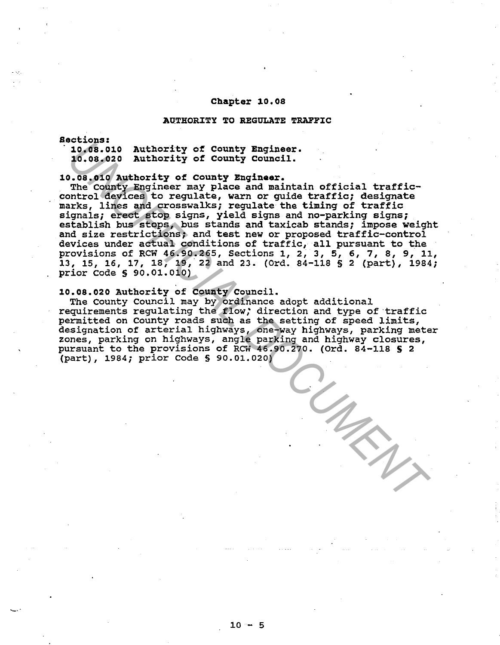#### Chapter 10.os

#### AUTHORITY TO REGULATE TRAFFIC

#### aections:

~--

· 10.os.010 10.os.020 Authority of County Engineer. Authority of County council.

#### 10.os.010 Authority of county Engineer.

The county Engineer may place and maintain official trafficcontrol devices to regulate, warn or guide traffic; designate marks, lines and crosswalks; regulate the timing of traffic signals; erect stop signs, yield signs and no-parking signs; establish bus stops, bus stands and taxicab stands; impose weight and size restrictions; and test new or proposed traffic-control devices under actual conditions of traffic, all pursuant to the provisions of RCW 46.90.265, Sections 1, 2, 3, 5, 6, 7, 8, 9, 11, 13, 15, 16, 17, 18, 19, 22 and 23. (Ord. 84-118 § 2 (part), 1984; prior Code § 90.01.010) **10.08.020** Authority of County Engineer.<br>
10.08.020 Authority of County Engineer.<br>
10.08.020 Authority of County Equest.<br>
10.08.020 Authority of County Equest.<br>
The county Engineer may Place and maintain official traffic-

# 10.os.020 Authority of county council.

The county Council may by ordinance adopt additional requirements regulating the flow; direction and type of ·traffic permitted on County roads such as the setting of speed limits, designation of arterial highways, one-way highways, parking meter zones, parking on highways, angle parking and highway closures, pursuant to the provisions of RCW 46.90.270. (Ord. 84-118 S 2 (part), 1984; prior Code§ 90.01.020)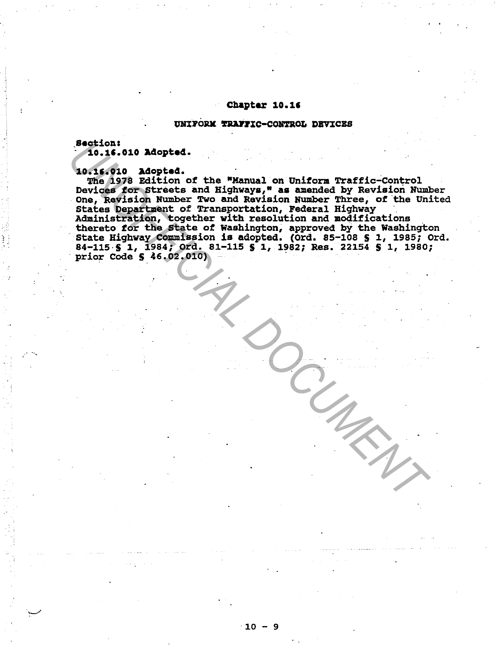# Chapter 10.1•

# UNIFORM TRAFFIC-CONTROL DEVICES

Sections

 $\overline{\phantom{a}}$ 

- 10.1•.010 Adopted.

10.16.010 Adopted.<br>The 1978 Edition of the "Manual on Uniform Traffic-Control Devices for Streets and Highways," as amended by Revision Number One, Revision Number Two and Revision Number Three, of the United States Department of Transportation, Federal Highway States Department of Transportation, Federal Highway<br>Administration, together with resolution and modifications<br>thereto for the State of Washington, approved by the Washington State Highway Commission is adopted. (Ord. 85-108 S l, 1985; Ord. 84-115 § 1, 1984; Ord. 81-115 § 1, 1982; Res. 22154 § 1, 1980; prior Code **S** 46.02.010) **Section:**<br> **19.16.010** Adopted.<br> **19.16.010** Adopted.<br>
The 1978 Edition of the "Manual on Uniform Traffic-Control<br>
Devices for straight available Two end Revision Runder Three, of the Uni<br>
one, Revision Runder Two end Rev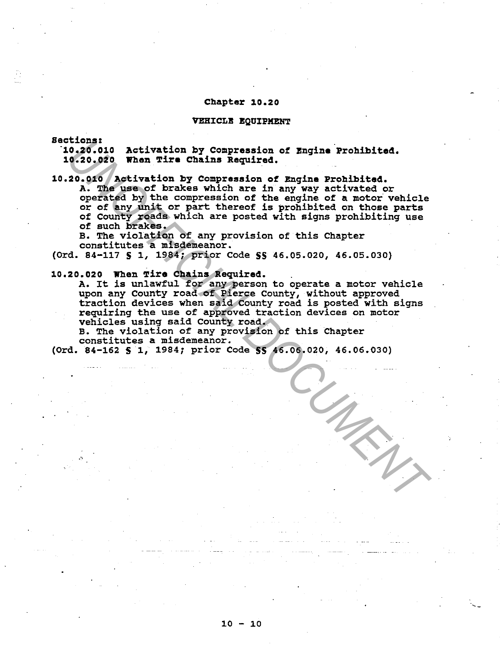#### **Chapter 10.20**

#### **VEHrCLB BQUrPMENT**

**sections:** 

**·10.20.010 Activation by Compression of Bngine Prohibited. 10.20.020 When Tire Chains Required.** 

# **10.20.010 Activation by Compression of Engine Prohibited.**

A. The use of brakes which are in any way activated or operated by the compression of the engine of **a** motor vehicle or of any unit or part thereof is prohibited on those parts of County roads which are posted with signs prohibiting use of such brakes. Increase of any compression of Engine Prohibited.<br>
0.20.000 When Tire Chains Required.<br>
20.000 When Tire Chains Required.<br>
20.000 When Tire use of brakes which are in any way activated or<br>
operated by the compression of th

B. The violation of any provision of this Chapter constitutes a misdemeanor.

(Ord. 84-117 **S** 1, 1984; prior Code SS 46.05.020, 46.05.030)

#### **10.20.020 When Tire Chains Required.**

A. It is unlawful for any person to operate a motor vehicle upon any County road of Pierce County, without approved traction devices when said County road is posted with signs requiring the use of approved traction devices on motor vehicles using said County road.

B. The violation of any provision of this Chapter constitutes a misdemeanor.

(Ord. 84-162 **S** 1, 1984; prior Code **SS** 46.06.020, 46.06.030)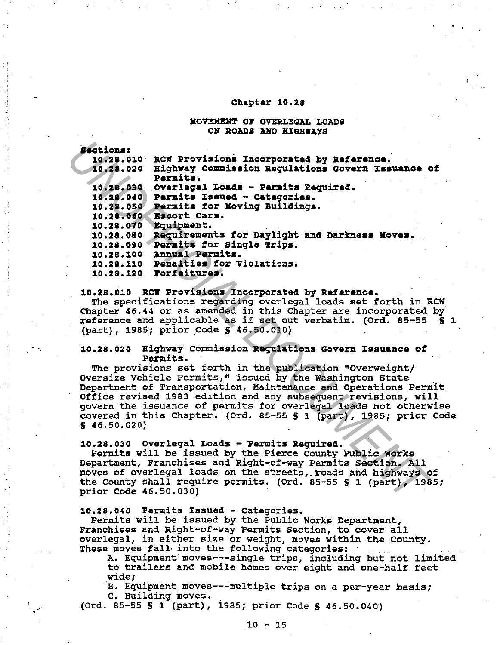### Chapter 10.28

#### **MOVEMENT OF OVERLEGAL LOADS** ON ROADS AND HIGHWAYS

·-

/

| <b>Sections:</b>                                                                                                                   |  |
|------------------------------------------------------------------------------------------------------------------------------------|--|
| RCW Provisions Incorporated by Reference.<br>10.28.010                                                                             |  |
| Highway Commission Regulations Govern Issuance of<br>10.28.020                                                                     |  |
| Permits.                                                                                                                           |  |
| 10.28.030 Overlegal Loads - Permits Required.                                                                                      |  |
| Permits Issued - Categories.<br>10.28.040                                                                                          |  |
| 10.28.050<br>Permits for Moving Buildings.                                                                                         |  |
| Escort Cars.<br>10.28.060                                                                                                          |  |
| 10.28.070<br>Equipment.                                                                                                            |  |
| 10.28.080 Requirements for Daylight and Darkness Moves.                                                                            |  |
| 10.28.090 Permits for Single Trips.                                                                                                |  |
| 10.28.100 Annual Permits.                                                                                                          |  |
| 10.28.110 Penalties for Violations.                                                                                                |  |
| 10.28.120 Forfeitures.                                                                                                             |  |
|                                                                                                                                    |  |
| 10.28.010 RCW Provisions Incorporated by Reference.                                                                                |  |
| The specifications regarding overlegal loads set forth in RCW                                                                      |  |
| Chapter 46.44 or as amended in this Chapter are incorporated by<br>reference and applicable as if set out verbatim. (Ord. 85-55 \$ |  |
| (part), 1985; prior Code § 46.50.010)                                                                                              |  |
|                                                                                                                                    |  |
| 10.28.020 Highway Commission Regulations Govern Issuance of                                                                        |  |
| Permits.                                                                                                                           |  |
| The provisions set forth in the publication "Overweight/                                                                           |  |
| Oversize Vehicle Permits," issued by the Washington State                                                                          |  |
| Department of Transportation, Maintenance and Operations Permit                                                                    |  |
| Office revised 1983 edition and any subsequent revisions, will                                                                     |  |
| govern the issuance of permits for overlegal loads not otherwis                                                                    |  |
| covered in this Chapter. (Ord. 85-55 \$ 1 (part), 1985; prior Co                                                                   |  |
| \$46.50.020)                                                                                                                       |  |
|                                                                                                                                    |  |
| 10.28.030 Overlegal Loads - Permits Required.                                                                                      |  |
| Permits will be issued by the Pierce County Public Works                                                                           |  |
| Department, Franchises and Right-of-way Permits Section. All                                                                       |  |
| moves of overlegal loads on the streets, roads and highways of                                                                     |  |
| the County shall require permits. (Ord. 85-55 § 1 (part), 1985;                                                                    |  |
| prior Code 46.50.030)                                                                                                              |  |
|                                                                                                                                    |  |

#### 10.28.020 Highway Commission Regulations Govern Issuance of Permits.

#### 10.28.030 ovarleqal Loads - Permits Required.

#### 10.28,040 Permits xssued - categories.

Permits will be issued by the Public Works Department, Franchises and Right-of-way Permits Section, to cover all overlegal, in either size or weight, moves within the County.

These moves fall into the following categories:<br>A. Equipment moves --- single trips, including but not limited to trailers and mobile homes over eight and one-half feet wide;

·B. Equipment moves---multiple trips on a per-year basis; c. Building moves.

{Ord. 85-55 S 1 (part), i985; prior Code S 46.50.040)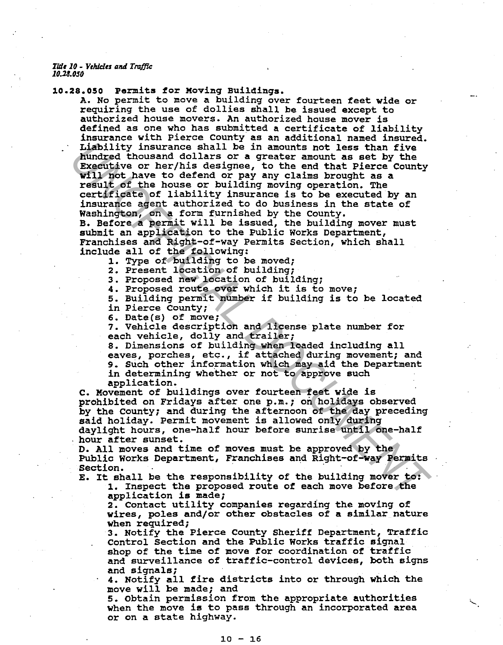*TIJJ110* - *Y1hidt1 aNI Traf!U: 10.28.0SO* 

10.28.050 Permits for Moving Buildings.

A. No permit to move a building over fourteen feet wide or requiring the use of dollies shall be issued except to authorized house movers. An authorized house mover is defined as one who has submitted a certificate of liability insurance with Pierce County as an additional named insured. Liability insurance shall be in amounts not less than five hundred thousand dollars or a greater amount as set by the Executive or her/his designee, to the end that Pierce County will not have to defend or pay any claims brought as a result of the house or building moving operation. The certificate of liability insurance is to be executed by an insurance agent authorized to do business in the state of Washington, on a form furnished by the County. B. Before a permit will be issued, the building mover must submit an application to the Public works Department, Liability insurance shall be in a<br>non-theories that the properties of the anomics of the Executive or her (his designe, to the end that Pierce County<br> **Executive** or the Payer of the end of the count of the County<br> **VII** f

Franchises and Right-of-way Permits Section, which shall include all of the following:

l. Type of building to be moved;

2. Present location of building;

3. Proposed new location of building;

4. Proposed route over which it is to move;

5. Building permit number if building is to be located

in Pierce County;

6. Date(s} of move;

7. Vehicle description and license plate number for each vehicle, dolly and trailer;

8. Dimensions of building when loaded including all eaves, porches, etc., if attached during movement; and

9. Such other information which may aid the Department in determining whether or not to approve such

application.

c. Movement of buildings over fourteen feet wide is prohibited on Fridays after one p.m.; on holidays observed by the county; and during the afternoon of the day preceding said holiday. Permit movement is allowed only during daylight hours, one-half hour before sunrise until one-half hour after sunset.

D. All moves and time of moves must be approved by the Public Works Department, Franchises and Right-of-way Permits

Section.<br>E. It shall be the responsibility of the building mover to:

1. Inspect the proposed route of each move before the application is made;

2. Contact utility companies regarding the moving of wires, poles and/or other obstacles of a similar nature

when required;<br>3. Notify the Pierce County Sheriff Department, Traffic Control Section and the Public Works traffic signal shop of the time of move for coordination of traffic and surveillance of traffic-control devices, both signs and signals;

4. Notify all fire districts into or through which the move will be made; and

5. obtain permission from the appropriate authorities when the move is to pass through an incorporated area or on a state highway.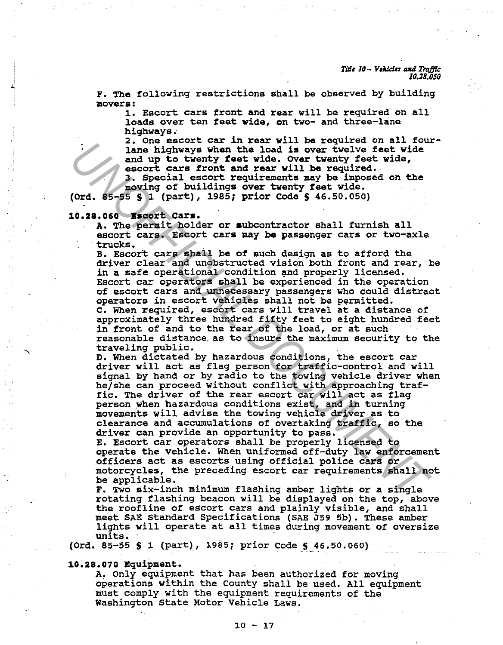*Title 10 - Vehicles and Traffic 10.28.050* 

F. The following restrictions shall be observed by building movera:

1. Escort cars front and rear will be required on all loads over ten feet wide, on two- and three-lane highways.

2. One escort car in rear will be required on all fourlane highways when the load is over twelve feet wide and up to twenty feet wide. over twenty feet wide, escort cars front and rear will be required. J. Special escort requirements may be imposed on the

moving of buildings over twenty feet wide. (Ord. 85-55 S 1 (part), 1985; prior Code S 46.50.050)

#### 10.28.060 Bacort cars.

A. The permit holder or subcontractor shall furnish all escort cars. Escort cars may be passenger cars or two-axle trucks.

B. Escort cars shall be of such design as to afford the driver clear and unobstructed vision both front and rear, be in a safe operational condition and properly licensed. Escort car operators shall be experienced in the operation of escort cars and unnecessary passengers who could distract

operators in escort vehicles shall not be permitted.

c. When required, escort cars will travel at a distance of approximately three hundred fifty feet to eight hundred feet in front of and to the rear of the load, or at such reasonable distance. as to insure the maximum security to the

traveling public.

D. When dictated by hazardous conditions, the escort car driver will act as flag person for traffic-control and will signal by hand or by radio to the towing vehicle driver when he/she can proceed without conflict with approaching traffic. The driver of the rear escort car will act as flag person when hazardous conditions exist, and in turning movements will advise the towing vehicle driver as to clearance and accumulations of overtaking traffic, so the driver can provide an opportunity to pass. A control death is the state of the state of the state of the state of the state of the state of the state of the state of the state of the state of the state of the state of the state of the state of the state of the stat

E. Escort car operators shall be properly licensed to operate the vehicle. When uniformed off-duty law enforcement officers act as escorts using official police cars or motorcycles, the preceding escort car requirements shall not be applicable.

F. Two six-inch minimum flashing amber lights or a single rotating flashing beacon will be displayed on the top, above the roofline of escort cars and plainly visible, and shall meet SAE Standard Specifications (SAE J59 Sb). These amber lights will operate at all times during movement of oversize

(Ord. 85-55  $S$  1 (part), 1985; prior Code  $S$  46.50.060)

10.28.070 Equipment.

A. Only equipment that has been authorized for moving operations within the County shall be used. All equipment must comply with the equipment requirements of the Washington state Motor Vehicle Laws.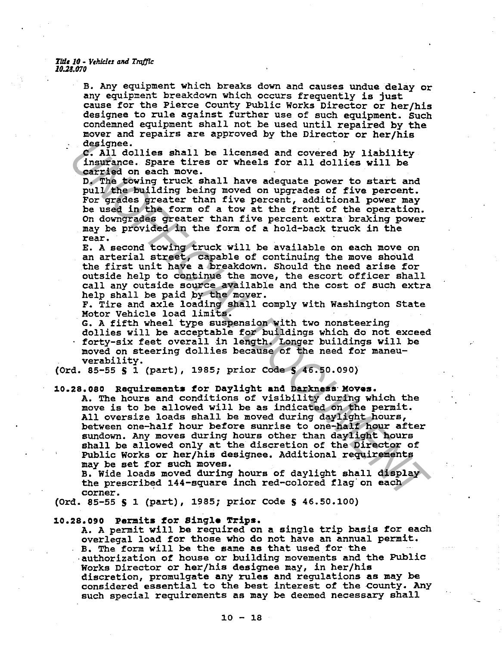#### *Tldt 10* - *Yeh/du alld TruJ]ic 10.28.070*

B. Any equipment which breaks down and causes undue delay or any equipment breakdown which occurs frequently is just cause for the Pierce County Public Works Director or her/his designee to rule against further use of such equipment. Such condemned equipment shall not be used until repaired by the mover and repairs are approved by the Director or her/his

c. All dollies shall be licensed and covered by liability insurance. Spare tires or wheels for all dollies will be carried on each move.

D. The towing truck shall have adequate power to start and pull the building being moved on upgrades of five percent. For grades greater than five percent, additional power may be used in the form of a tow at the front of the operation. On downgrades greater than five percent extra braking power may be provided in the form of a hold-back truck in the rear.

E. A second towing truck will be available on each move on an arterial street, capable of continuing the move should the first unit have a breakdown. Should the need arise for outside help to continue the move, the escort officer shall call any outside source available and the cost of such extra help shall be paid *py* the mover.

F. Tire and axle loading shall comply with Washington State Motor Vehicle load limits.

G. A fifth wheel type suspension with two nonsteering dollies will be acceptable for buildings which do not exceed forty-six feet overall in length. Longer buildings will be moved on steering dollies because of the need for maneuverability.

(Ord. 85-55 S 1 (part), 1985; prior Code S 46.50.090)

### 10.28.080 Requirements for Daylight and Darkness Moves.

A. The hours and conditions of visibility during which the move is to be allowed will be as indicated on the permit. All oversize loads shall be moved during daylight hours, between one-half hour before sunrise to one-half hour after sundown. Any moves during hours other than daylight hours shall be allowed only at the discretion of the Director of Public Works or her/his designee. Additional requirements may be set for such moves. designee. Spare tires or wheels and covered by liability<br>insurance. Spare tires or wheels for all dollies will be<br>insurated on each move.<br>D. The forming transland have adequate poer to start and<br>not move and have adequate

B. Wide loads moved during hours of daylight shall display the prescribed 144-square inch red-colored flag· on each corner.

(Ord. 85-55 S 1 (part), 1985; prior Code S 46.50.100)

10.28.090 Permits for Single Trips.<br>A. A permit will be required on a single trip basis for each overlegal load for those who do not have an annual permit. B. The form will be the same as that used for the -authorization of house or building movements and the Public Works Director or her/his designee may, in her/his discretion, promulgate any rules and regulations as may be considered essential to the best interest of the county. Any such special requirements as may be deemed necessary shall

·-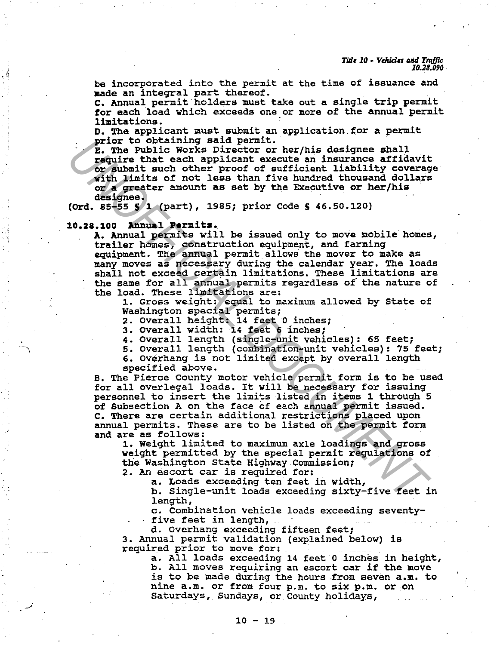be incorporated into the permit at the time of issuance and made an integral part thereof.

C. Annual permit holders must take out a single trip permit for each load which exceeds one or more of the annual permit limitations.

D. The applicant must submit an application for a permit prior to obtaining said permit.

E. The Public Works Director or her/his designee shall require that each applicant execute an insurance affidavit or submit such other proof of sufficient liability coverage with limits of not less than five hundred thousand dollars or **a** greater amount as set by the Executive or her/his

(Ord. 85-55  $S$  1 (part), 1985; prior Code  $S$  46.50.120)

#### **10.28.100 Annual Permits.**

.<br>مب

A. Annual permits will be issued only to move mobile homes, trailer homes, construction equipment, and farming equipment. The annual permit allows the mover to make as many moves as necessary during the calendar year. The loads shall. not exceed certain limitations. These limitations are the same for all annual permits regardless of the nature of the load. These limitations are:

1. Gross weight: equal to maximum allowed by State of Washington special permits; Washington special permits;<br>2. Overall height: 14 feet 0 inches;

3. Overall width: 14 feet 6 inches;

- 4. Overall length (single-unit vehicles): 65 feet;
- 5. Overall length (combination-unit vehicles): 75 feet;

6. Overhang is not limited except by overall length specified above.

B. The Pierce County motor vehicle permit form is to be used for all overlegal loads. It will be necessary for issuing personnel to insert the limits listed in items l through 5 of Subsection A on the face· of each annual permit issued. c. There are certain additional restrictions placed upon annual permits. These are to be listed on the permit form and are as follows: Prof obtaining said period.<br>
Prof Public Works Director or her/his designee shall<br>
require that each applicant excette an insurance arridavity of<br>
with initis of others from the numerical values of a greeter amount as set

1. Weight limited to maximum axle loadings and gross weight permitted by the special permit regulations of the Washington State Highway Commission;

2. An escort car is required for:

a. Loads exceeding ten feet in width,

b. Single-unit loads exceeding sixty-five feet in length,

c. Combination vehicle loads exceeding seventy- five feet in length,

d. Overhang exceeding fifteen feet;

3. Annual. permit validation (explained below) is required prior to move for:

a. All loads exceeding 14 feet 0 inches in height,<br>b. All moves requiring an escort car if the move is to be made during the hours from seven a.m. to nine a.m. or from four p.m. to six p.m. or on Saturdays, Sundays, or County holidays,